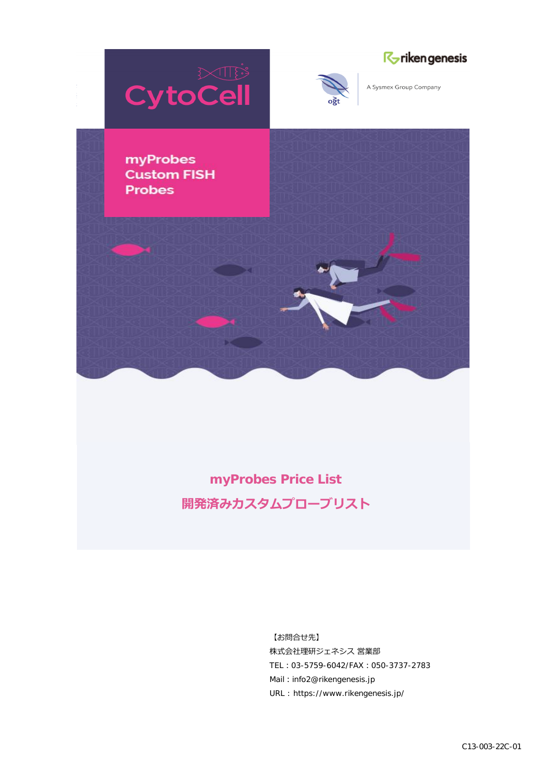





A Sysmex Group Company

myProbes **Custom FISH Probes** 

> **myProbes Price List 開発済みカスタムプローブリスト**

> > 【お問合せ先】 株式会社理研ジェネシス 営業部 TEL: 03-5759-6042/FAX: 050-3737-2783 Mail: info2@rikengenesis.jp URL : https://www.rikengenesis.jp/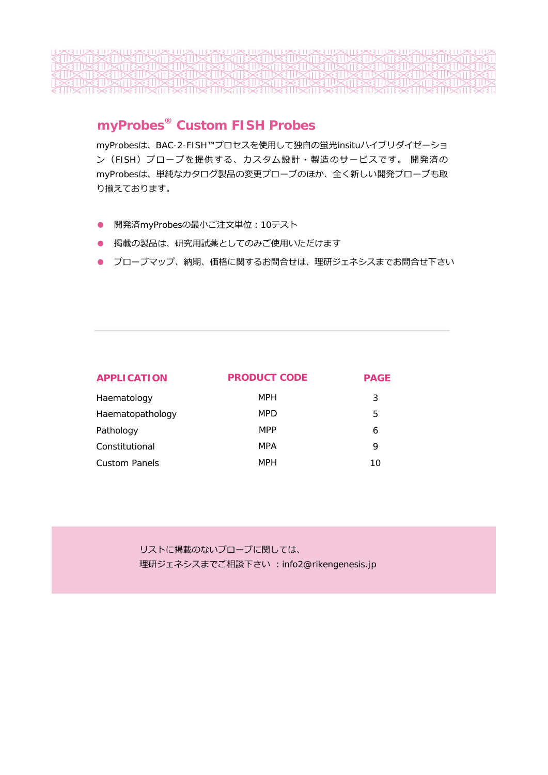**TITING TITING TITING THE NATURAL TITING THE** 

## **myProbes® Custom FISH Probes**

myProbesは、BAC-2-FISH™プロセスを使⽤して独⾃の蛍光insituハイブリダイゼーショ ン(FISH)プローブを提供する、カスタム設計・製造のサービスです。 開発済の myProbesは、単純なカタログ製品の変更プローブのほか、全く新しい開発プローブも取 り揃えております。

- 開発済myProbesの最小ご注文単位: 10テスト
- 掲載の製品は、研究用試薬としてのみご使用いただけます
- プローブマップ、納期、価格に関するお問合せは、理研ジェネシスまでお問合せ下さい

| APPLICATION          | PRODUCT CODE | <b>PAGE</b> |  |
|----------------------|--------------|-------------|--|
| Haematology          | <b>MPH</b>   | 3           |  |
| Haematopathology     | <b>MPD</b>   | 5           |  |
| Pathology            | <b>MPP</b>   | 6           |  |
| Constitutional       | <b>MPA</b>   | 9           |  |
| <b>Custom Panels</b> | <b>MPH</b>   | 10          |  |

リストに掲載のないプローブに関しては、 理研ジェネシスまでご相談下さい: info2@rikengenesis.jp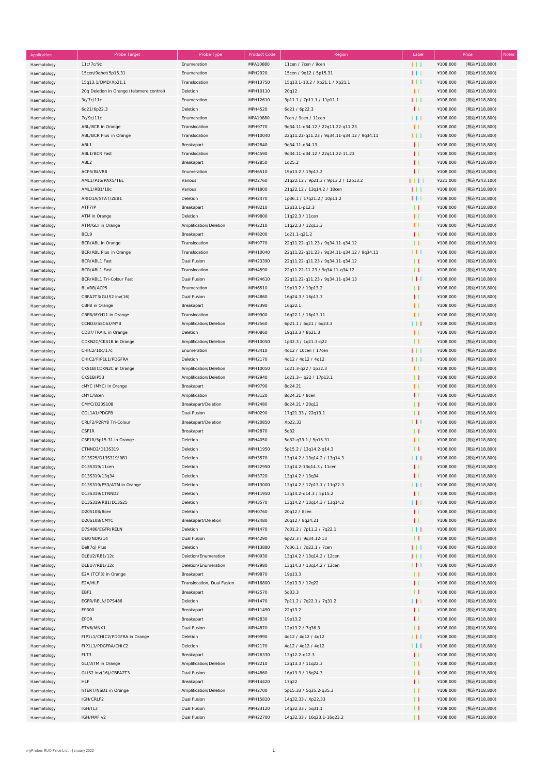| Application | Probe Target                              | Probe Type                 | <b>Product Code</b> | Region                                     | Label        |          | Price        | Notes |
|-------------|-------------------------------------------|----------------------------|---------------------|--------------------------------------------|--------------|----------|--------------|-------|
| Haematology | 11c/7c/9c                                 | Enumeration                | MPA10880            | 11cen / 7cen / 9cen                        | 111          | ¥108,000 | (税込¥118,800) |       |
|             |                                           |                            |                     |                                            | $\Box$       |          |              |       |
| Haematology | 15cen/9qhet/5p15.31                       | Enumeration                | MPH2920             | 15cen / 9q12 / 5p15.31                     |              | ¥108,000 | (税込¥118,800) |       |
| Haematology | 15q13.1/DMD/Xp21.1                        | Translocation              | MPH13750            | 15q13.1-13.2 / Xp21.1 / Xp21.1             | 111          | ¥108,000 | (税込¥118,800) |       |
| Haematology | 20q Deletion in Orange (telomere control) | Deletion                   | MPH10110            | 20q12                                      | $\mathbf{H}$ | ¥108,000 | (税込¥118,800) |       |
| Haematology | 3c/7c/11c                                 | Enumeration                | MPH12610            | 3p11.1 / 7p11.1 / 11p11.1                  | 111          | ¥108,000 | (税込¥118,800) |       |
| Haematology | 6q21/6p22.3                               | Deletion                   | MPH4520             | 6q21 / 6p22.3                              | $\mathbf{L}$ | ¥108,000 | (税込¥118,800) |       |
|             | 7c/9c/11c                                 | Enumeration                | MPA10880            | 7cen / 9cen / 11cen                        |              | ¥108,000 |              |       |
| Haematology |                                           |                            |                     |                                            | Ш            |          | (税込¥118,800) |       |
| Haematology | ABL/BCR in Orange                         | Translocation              | MPH9770             | 9q34.11-q34.12 / 22q11.22-q11.23           | $\mathbf{H}$ | ¥108,000 | (税込¥118,800) |       |
| Haematology | ABL/BCR Plus in Orange                    | Translocation              | MPH10040            | 22q11.22-q11.23 / 9q34.11-q34.12 / 9q34.11 | 111          | ¥108,000 | (税込¥118,800) |       |
| Haematology | ABL1                                      | Breakapart                 | MPH2840             | 9q34.11-q34.13                             | $\mathbf{H}$ | ¥108,000 | (税込¥118,800) |       |
| Haematology | ABL1/BCR Fast                             | Translocation              | MPH4590             | 9q34.11-q34.12 / 22q11.22-11.23            | $\mathbf{L}$ | ¥108,000 | (税込¥118,800) |       |
|             |                                           |                            |                     |                                            |              |          |              |       |
| Haematology | ABL <sub>2</sub>                          | Breakapart                 | MPH2850             | 1q25.2                                     | $\mathbf{L}$ | ¥108,000 | (税込¥118,800) |       |
| Haematology | ACP5/BLVRB                                | Enumeration                | MPH6510             | 19p13.2 / 19p13.2                          | $\mathbf{H}$ | ¥108,000 | (税込¥118,800) |       |
| Haematology | AML1/P16/PAX5/TEL                         | Various                    | MPD2760             | 21q22.12 / 9p21.3 / 9p13.2 / 12p13.2       | 1111         | ¥221,000 | (税込¥243,100) |       |
| Haematology | AML1/RB1/18c                              | Various                    | MPH1800             | 21q22.12 / 13q14.2 / 18cen                 | 111          | ¥108,000 | (税込¥118,800) |       |
| Haematology | ARID1A/STAT/ZEB1                          | Deletion                   | MPH2470             | 1p36.1 / 17q21.2 / 10p11.2                 | 111          | ¥108,000 | (税込¥118,800) |       |
|             |                                           |                            |                     |                                            |              |          |              |       |
| Haematology | ATF7IP                                    | Breakapart                 | MPH8210             | 12p13.1-p12.3                              | $\perp$      | ¥108,000 | (税込¥118,800) |       |
| Haematology | ATM in Orange                             | Deletion                   | MPH9800             | 11q22.3 / 11cen                            | $\mathbf{L}$ | ¥108,000 | (税込¥118,800) |       |
| Haematology | ATM/GLI in Orange                         | Amplification/Deletion     | MPH2210             | 11q22.3 / 12q13.3                          | $\perp$      | ¥108,000 | (税込¥118,800) |       |
| Haematology | BCL9                                      | Breakapart                 | MPH8200             | 1q21.1-q21.2                               | $\mathbf{L}$ | ¥108,000 | (税込¥118,800) |       |
| Haematology | <b>BCR/ABL</b> in Orange                  | Translocation              | MPH9770             | 22q11.22-q11.23 / 9q34.11-q34.12           | $\perp$      | ¥108,000 | (税込¥118,800) |       |
|             |                                           |                            |                     |                                            |              |          |              |       |
| Haematology | BCR/ABL Plus in Orange                    | Translocation              | MPH10040            | 22q11.22-q11.23 / 9q34.11-q34.12 / 9q34.11 | ШI           | ¥108,000 | (税込¥118,800) |       |
| Haematology | BCR/ABL1 Fast                             | Dual Fusion                | MPH23390            | 22q11.22-q11.23 / 9q34.11-q34.12           | $\perp$      | ¥108,000 | (税込¥118,800) |       |
| Haematology | BCR/ABL1 Fast                             | Translocation              | MPH4590             | 22q11.22-11.23 / 9q34.11-q34.12            | $\perp$      | ¥108,000 | (税込¥118,800) |       |
| Haematology | BCR/ABL1 Tri-Colour Fast                  | Dual Fusion                | MPH24610            | 22q11.22-q11.23 / 9q34.11-q34.13           | HТ           | ¥108,000 | (税込¥118,800) |       |
| Haematology | BLVRB/ACP5                                | Enumeration                | MPH6510             | 19p13.2 / 19p13.2                          | $\perp$      | ¥108,000 | (税込¥118,800) |       |
|             |                                           |                            |                     |                                            |              |          |              |       |
| Haematology | CBFA2T3/GLIS2 inv(16)                     | Dual Fusion                | MPH4860             | 16q24.3 / 16p13.3                          | $\perp$      | ¥108,000 | (税込¥118,800) |       |
| Haematology | CBFB in Orange                            | Breakapart                 | MPH2390             | 16q22.1                                    | $\mathbf{L}$ | ¥108,000 | (税込¥118,800) |       |
| Haematology | CBFB/MYH11 in Orange                      | Translocation              | MPH9900             | 16q22.1 / 16p13.11                         | $\mathbf{H}$ | ¥108,000 | (税込¥118,800) |       |
| Haematology | CCND3/SEC63/MYB                           | Amplification/Deletion     | MPH2560             | 6p21.1 / 6q21 / 6q23.3                     | Ш            | ¥108,000 | (税込¥118,800) |       |
|             | CD37/TRAIL in Orange                      | Deletion                   | <b>MPH0860</b>      | 19q13.3 / 8p21.3                           | $\mathbf{H}$ | ¥108,000 | (税込¥118,800) |       |
| Haematology |                                           |                            |                     |                                            |              |          |              |       |
| Haematology | CDKN2C/CKS1B in Orange                    | Amplification/Deletion     | MPH10050            | 1p32.3 / 1q21.3-q22                        | $\perp$      | ¥108,000 | (税込¥118,800) |       |
| Haematology | CHIC2/10c/17c                             | Enumeration                | MPH3410             | 4q12 / 10cen / 17cen                       | 111          | ¥108,000 | (税込¥118,800) |       |
| Haematology | CHIC2/FIP1L1/PDGFRA                       | Deletion                   | MPH2170             | 4q12 / 4q12 / 4q12                         | 111          | ¥108,000 | (税込¥118,800) |       |
| Haematology | CKS1B/CDKN2C in Orange                    | Amplification/Deletion     | MPH10050            | 1q21.3-q22 / 1p32.3                        | $\perp$      | ¥108,000 | (税込¥118,800) |       |
| Haematology | CKS1B/P53                                 | Amplification/Deletion     | MPH2940             | 1q21.3-- q22 / 17p13.1                     | $\perp$      | ¥108,000 | (税込¥118,800) |       |
|             |                                           |                            |                     |                                            |              |          |              |       |
| Haematology | cMYC (MYC) in Orange                      | Breakapart                 | MPH9790             | 8q24.21                                    | $\perp$      | ¥108,000 | (税込¥118,800) |       |
| Haematology | cMYC/8cen                                 | Amplification              | MPH3120             | 8q24.21 / 8cen                             | $\mathbf{L}$ | ¥108,000 | (税込¥118,800) |       |
| Haematology | CMYC/D20S108                              | Breakapart/Deletion        | MPH2480             | 8q24.21 / 20q12                            | $\perp$      | ¥108,000 | (税込¥118,800) |       |
| Haematology | COL1A1/PDGFB                              | Dual Fusion                | MPH0290             | 17q21.33 / 22q13.1                         | $\perp$      | ¥108,000 | (税込¥118,800) |       |
| Haematology | CRLF2/P2RY8 Tri-Colour                    | Breakapart/Deletion        | MPH20850            | Xp22.33                                    | HТ           | ¥108,000 | (税込¥118,800) |       |
|             |                                           |                            |                     |                                            |              |          |              |       |
| Haematology | CSF1R                                     | Breakapart                 | MPH2870             | 5q32                                       | $\perp$      | ¥108,000 | (税込¥118,800) |       |
| Haematology | CSF1R/5p15.31 in Orange                   | Deletion                   | MPH4050             | 5q32-q33.1 / 5p15.31                       | $\mathbf{L}$ | ¥108,000 | (税込¥118,800) |       |
| Haematology | CTNND2/D13S319                            | Deletion                   | MPH11950            | 5p15.2 / 13q14.2-q14.3                     | $\perp$      | ¥108,000 | (税込¥118,800) |       |
| Haematology | D13S25/D13S319/RB1                        | Deletion                   | MPH3570             | 13q14.2 / 13q14.2 / 13q14.3                | Ш            | ¥108,000 | (税込¥118,800) |       |
| Haematology | D13S319/11cen                             | Deletion                   | MPH22950            | 13q14.2-13q14.3 / 11cen                    | $\mathbf{H}$ | ¥108,000 | (税込¥118,800) |       |
|             |                                           |                            |                     |                                            |              |          |              |       |
| Haematology | D13S319/13q34                             | Deletion                   | MPH3720             | 13q14.2 / 13q34                            | $\mathbf{H}$ | ¥108,000 | (税込¥118,800) |       |
| Haematology | D13S319/P53/ATM in Orange                 | Deletion                   | MPH13000            | 13q14.2 / 17p13.1 / 11q22.3                | Ш            | ¥108,000 | (税込¥118,800) |       |
| Haematology | D13S319/CTNND2                            | Deletion                   | MPH11950            | 13q14.2-q14.3 / 5p15.2                     | $\mathbf{H}$ | ¥108,000 | (税込¥118,800) |       |
| Haematology | D13S319/RB1/D13S25                        | Deletion                   | MPH3570             | 13q14.2 / 13q14.3 / 13q14.2                | Ш            | ¥108,000 | (税込¥118,800) |       |
| Haematology | D20S108/8cen                              | Deletion                   | MPH0760             | 20q12 / 8cen                               | $\mathbf{L}$ | ¥108,000 | (税込¥118,800) |       |
|             | D20S108/CMYC                              | Breakapart/Deletion        | MPH2480             | 20q12 / 8q24.21                            | $\mathbf{L}$ | ¥108,000 | (税込¥118,800) |       |
| Haematology |                                           |                            |                     |                                            |              |          |              |       |
| Haematology | D7S486/EGFR/RELN                          | Deletion                   | MPH1470             | 7q31.2 / 7p11.2 / 7q22.1                   | Ш            | ¥108,000 | (税込¥118,800) |       |
| Haematology | DEK/NUP214                                | Dual Fusion                | MPH4290             | 6p22.3 / 9q34.12-13                        | $\perp$      | ¥108,000 | (税込¥118,800) |       |
| Haematology | Del(7q) Plus                              | Deletion                   | MPH13880            | 7q36.1 / 7q22.1 / 7cen                     | 111          | ¥108,000 | (税込¥118,800) |       |
| Haematology | DLEU2/RB1/12c                             | Deletion/Enumeration       | MPH0930             | 13q14.2 / 13q14.2 / 12cen                  | ПT           | ¥108,000 | (税込¥118,800) |       |
|             | DLEU7/RB1/12c                             | Deletion/Enumeration       | MPH2980             |                                            | 1 L L        | ¥108,000 | (税込¥118,800) |       |
| Haematology |                                           |                            |                     | 13q14.3 / 13q14.2 / 12cen                  |              |          |              |       |
| Haematology | E2A (TCF3) in Orange                      | Breakapart                 | MPH9870             | 19p13.3                                    | $\perp$      | ¥108,000 | (税込¥118,800) |       |
| Haematology | E2A/HLF                                   | Translocation, Dual Fusion | MPH16800            | 19p13.3 / 17q22                            | $\mathbf{H}$ | ¥108,000 | (税込¥118,800) |       |
| Haematology | EBF1                                      | Breakapart                 | MPH2570             | 5q33.3                                     | $\perp$      | ¥108,000 | (税込¥118,800) |       |
| Haematology | EGFR/RELN/D7S486                          | Deletion                   | MPH1470             | 7p11.2 / 7q22.1 / 7q31.2                   | Ш            | ¥108,000 | (税込¥118,800) |       |
| Haematology | EP300                                     | Breakapart                 | MPH11490            | 22q13.2                                    | $\mathbf{H}$ | ¥108,000 | (税込¥118,800) |       |
|             | EPOR                                      | Breakapart                 | MPH2830             |                                            |              | ¥108,000 |              |       |
| Haematology |                                           |                            |                     | 19p13.2                                    | $\mathbf{L}$ |          | (税込¥118,800) |       |
| Haematology | ETV6/MNX1                                 | Dual Fusion                | MPH4870             | 12p13.2 / 7q36.3                           | $\perp$      | ¥108,000 | (税込¥118,800) |       |
| Haematology | FIP1L1/CHIC2/PDGFRA in Orange             | Deletion                   | MPH9990             | 4q12 / 4q12 / 4q12                         | Ш            | ¥108,000 | (税込¥118,800) |       |
| Haematology | FIP1L1/PDGFRA/CHIC2                       | Deletion                   | MPH2170             | 4q12 / 4q12 / 4q12                         | ПI           | ¥108,000 | (税込¥118,800) |       |
| Haematology | FLT3                                      | Breakapart                 | MPH26330            | 13q12.2-q12.3                              | $\mathbf{H}$ | ¥108,000 | (税込¥118,800) |       |
| Haematology | GLI/ATM in Orange                         | Amplification/Deletion     | MPH2210             | 12q13.3 / 11q22.3                          | $\perp$      | ¥108,000 | (税込¥118,800) |       |
|             |                                           |                            |                     |                                            |              |          |              |       |
| Haematology | GLIS2 inv(16)/CBFA2T3                     | Dual Fusion                | MPH4860             | 16p13.3 / 16q24.3                          | $\perp$      | ¥108,000 | (税込¥118,800) |       |
| Haematology | HLF                                       | Breakapart                 | MPH14420            | 17q22                                      | $\mathbf{L}$ | ¥108,000 | (税込¥118,800) |       |
| Haematology | hTERT/NSD1 in Orange                      | Amplification/Deletion     | MPH2700             | 5p15.33 / 5q35.2-q35.3                     | $\perp$      | ¥108,000 | (税込¥118,800) |       |
| Haematology | IGH/CRLF2                                 | Dual Fusion                | MPH15820            | 14q32.33 / Xp22.33                         | $\perp$      | ¥108,000 | (税込¥118,800) |       |
| Haematology | IGH/IL3                                   | Dual Fusion                | MPH23120            | 14q32.33 / 5q31.1                          | $\perp$      | ¥108,000 | (税込¥118,800) |       |
|             |                                           |                            |                     |                                            |              |          |              |       |
| Haematology | IGH/MAF v2                                | Dual Fusion                | MPH22700            | 14q32.33 / 16q23.1-16q23.2                 |              | ¥108,000 | (税込¥118,800) |       |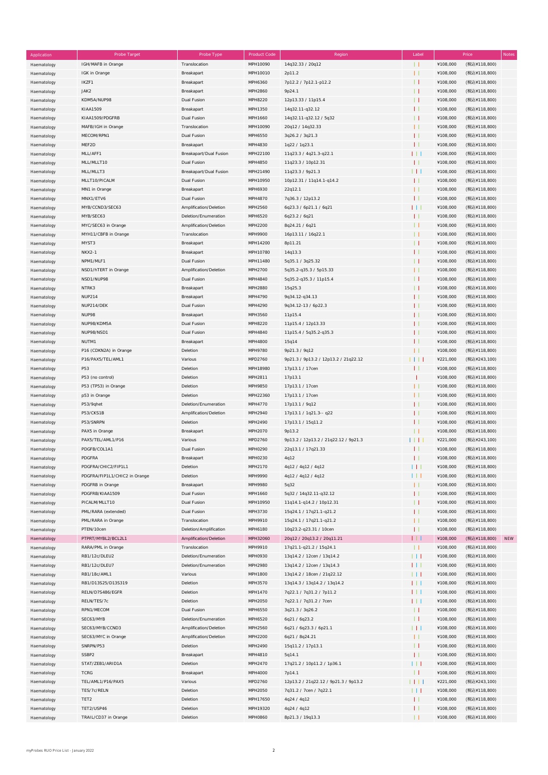| Application | Probe Target                  | Probe Type             | <b>Product Code</b> | Region                               | Label        |          | Price        | Notes      |
|-------------|-------------------------------|------------------------|---------------------|--------------------------------------|--------------|----------|--------------|------------|
| Haematology | IGH/MAFB in Orange            | Translocation          | MPH10090            | 14q32.33 / 20q12                     | $\perp$      | ¥108,000 | (税込¥118,800) |            |
| Haematology | IGK in Orange                 | Breakapart             | MPH10010            | 2p11.2                               | $\mathbf{L}$ | ¥108,000 | (税込¥118,800) |            |
| Haematology | IKZF1                         | Breakapart             | MPH6360             | 7p12.2 / 7p12.1-p12.2                | $\mathbf{H}$ | ¥108,000 | (税込¥118,800) |            |
| Haematology | JAK2                          | Breakapart             | MPH2860             | 9p24.1                               | $\perp$      | ¥108,000 | (税込¥118,800) |            |
|             | KDM5A/NUP98                   |                        | MPH8220             |                                      | $\mathbf{H}$ | ¥108,000 |              |            |
| Haematology |                               | Dual Fusion            |                     | 12p13.33 / 11p15.4                   |              |          | (税込¥118,800) |            |
| Haematology | KIAA1509                      | Breakapart             | MPH1350             | 14q32.11-q32.12                      | $\mathbf{L}$ | ¥108,000 | (税込¥118,800) |            |
| Haematology | KIAA1509/PDGFRB               | Dual Fusion            | MPH1660             | 14q32.11-q32.12 / 5q32               | $\perp$      | ¥108,000 | (税込¥118,800) |            |
| Haematology | MAFB/IGH in Orange            | Translocation          | MPH10090            | 20q12 / 14q32.33                     | $\mathbf{H}$ | ¥108,000 | (税込¥118,800) |            |
| Haematology | MECOM/RPN1                    | Dual Fusion            | MPH6550             | 3q26.2 / 3q21.3                      | $\mathbf{H}$ | ¥108,000 | (税込¥118,800) |            |
| Haematology | MEF2D                         | Breakapart             | MPH4830             | 1q22 / 1q23.1                        | $\mathbf{H}$ | ¥108,000 | (税込¥118,800) |            |
| Haematology | MLL/AFF1                      | Breakapart/Dual Fusion | MPH22100            | 11q23.3 / 4q21.3-q22.1               | ПT           | ¥108,000 | (税込¥118,800) |            |
| Haematology | MLL/MLLT10                    | Dual Fusion            | MPH4850             | 11q23.3 / 10p12.31                   | $\mathbf{H}$ | ¥108,000 | (税込¥118,800) |            |
|             | MLL/MLLT3                     | Breakapart/Dual Fusion | MPH21490            | 11q23.3 / 9p21.3                     | П            | ¥108,000 | (税込¥118,800) |            |
| Haematology |                               |                        |                     |                                      |              |          |              |            |
| Haematology | MLLT10/PICALM                 | Dual Fusion            | MPH10950            | 10p12.31 / 11q14.1-q14.2             | $\mathbf{H}$ | ¥108,000 | (税込¥118,800) |            |
| Haematology | MN1 in Orange                 | Breakapart             | MPH6930             | 22q12.1                              | $\mathbf{H}$ | ¥108,000 | (税込¥118,800) |            |
| Haematology | MNX1/ETV6                     | Dual Fusion            | MPH4870             | 7q36.3 / 12p13.2                     | $\mathbf{H}$ | ¥108,000 | (税込¥118,800) |            |
| Haematology | MYB/CCND3/SEC63               | Amplification/Deletion | MPH2560             | 6q23.3 / 6p21.1 / 6q21               | 111          | ¥108,000 | (税込¥118,800) |            |
| Haematology | MYB/SEC63                     | Deletion/Enumeration   | MPH6520             | 6q23.2 / 6q21                        | $\mathbf{L}$ | ¥108,000 | (税込¥118,800) |            |
| Haematology | MYC/SEC63 in Orange           | Amplification/Deletion | MPH2200             | 8q24.21 / 6q21                       | $\perp$      | ¥108,000 | (税込¥118,800) |            |
| Haematology | MYH11/CBFB in Orange          | Translocation          | MPH9900             | 16p13.11 / 16q22.1                   | $\perp$      | ¥108,000 | (税込¥118,800) |            |
|             | MYST3                         | Breakapart             | MPH14200            | 8p11.21                              | $\perp$      | ¥108,000 | (税込¥118,800) |            |
| Haematology |                               |                        |                     |                                      |              |          |              |            |
| Haematology | <b>NKX2-1</b>                 | Breakapart             | MPH10780            | 14q13.3                              | $\mathbf{L}$ | ¥108,000 | (税込¥118,800) |            |
| Haematology | NPM1/MLF1                     | Dual Fusion            | MPH11480            | 5q35.1 / 3q25.32                     | $\perp$      | ¥108,000 | (税込¥118,800) |            |
| Haematology | NSD1/hTERT in Orange          | Amplification/Deletion | MPH2700             | 5q35.2-q35.3 / 5p15.33               | $\mathbf{L}$ | ¥108,000 | (税込¥118,800) |            |
| Haematology | NSD1/NUP98                    | Dual Fusion            | MPH4840             | 5q35.2-q35.3 / 11p15.4               | $\perp$      | ¥108,000 | (税込¥118,800) |            |
| Haematology | NTRK3                         | Breakapart             | MPH2880             | 15q25.3                              | $\perp$      | ¥108,000 | (税込¥118,800) |            |
| Haematology | <b>NUP214</b>                 | Breakapart             | MPH4790             | 9q34.12-q34.13                       | $\mathbf{L}$ | ¥108,000 | (税込¥118,800) |            |
|             | NUP214/DEK                    | Dual Fusion            | MPH4290             | 9q34.12-13 / 6p22.3                  | $\mathbf{L}$ | ¥108,000 | (税込¥118,800) |            |
| Haematology |                               |                        |                     |                                      |              |          |              |            |
| Haematology | NUP98                         | Breakapart             | MPH3560             | 11p15.4                              | $\mathbf{L}$ | ¥108,000 | (税込¥118,800) |            |
| Haematology | NUP98/KDM5A                   | Dual Fusion            | MPH8220             | 11p15.4 / 12p13.33                   | $\mathbf{L}$ | ¥108,000 | (税込¥118,800) |            |
| Haematology | NUP98/NSD1                    | Dual Fusion            | MPH4840             | 11p15.4 / 5q35.2-q35.3               | $\mathbf{L}$ | ¥108,000 | (税込¥118,800) |            |
| Haematology | NUTM1                         | Breakapart             | MPH4800             | 15q14                                | $\mathbf{L}$ | ¥108,000 | (税込¥118,800) |            |
| Haematology | P16 (CDKN2A) in Orange        | Deletion               | MPH9780             | 9p21.3 / 9q12                        | $\perp$      | ¥108,000 | (税込¥118,800) |            |
| Haematology | P16/PAX5/TEL/AML1             | Various                | MPD2760             | 9p21.3 / 9p13.2 / 12p13.2 / 21q22.12 | HH           | ¥221,000 | (税込¥243,100) |            |
| Haematology | P53                           | Deletion               | MPH18980            | 17p13.1 / 17cen                      | $\perp$      | ¥108,000 | (税込¥118,800) |            |
|             | P53 (no control)              | Deletion               | MPH2811             | 17p13.1                              |              | ¥108,000 | (税込¥118,800) |            |
| Haematology |                               |                        |                     |                                      |              |          |              |            |
| Haematology | P53 (TP53) in Orange          | Deletion               | MPH9850             | 17p13.1 / 17cen                      | $\perp$      | ¥108,000 | (税込¥118,800) |            |
| Haematology | p53 in Orange                 | Deletion               | MPH22360            | 17p13.1 / 17cen                      | $\mathbf{H}$ | ¥108,000 | (税込¥118,800) |            |
| Haematology | P53/9qhet                     | Deletion/Enumeration   | MPH4770             | 17p13.1 / 9q12                       | $\mathbf{L}$ | ¥108,000 | (税込¥118,800) |            |
| Haematology | P53/CKS1B                     | Amplification/Deletion | MPH2940             | 17p13.1 / 1q21.3-- q22               | $\mathbf{L}$ | ¥108,000 | (税込¥118,800) |            |
| Haematology | P53/SNRPN                     | Deletion               | MPH2490             | 17p13.1 / 15q11.2                    | $\mathbf{L}$ | ¥108,000 | (税込¥118,800) |            |
| Haematology | PAX5 in Orange                | Breakapart             | MPH2070             | 9p13.2                               | $\perp$      | ¥108,000 | (税込¥118,800) |            |
| Haematology | PAX5/TEL/AML1/P16             | Various                | MPD2760             | 9p13.2 / 12p13.2 / 21q22.12 / 9p21.3 | $\Box$       | ¥221,000 | (税込¥243,100) |            |
| Haematology | PDGFB/COL1A1                  | <b>Dual Fusion</b>     | MPH0290             | 22q13.1 / 17q21.33                   | $\mathbf{L}$ | ¥108,000 | (税込¥118,800) |            |
|             |                               |                        |                     |                                      |              |          |              |            |
| Haematology | PDGFRA                        | Breakapart             | MPH0230             | 4q12                                 | $\perp$      | ¥108,000 | (税込¥118,800) |            |
| Haematology | PDGFRA/CHIC2/FIP1L1           | Deletion               | MPH2170             | 4q12 / 4q12 / 4q12                   | ПT           | ¥108,000 | (税込¥118,800) |            |
| Haematology | PDGFRA/FIP1L1/CHIC2 in Orange | Deletion               | MPH9990             | 4q12 / 4q12 / 4q12                   | HТ           | ¥108,000 | (税込¥118,800) |            |
| Haematology | PDGFRB in Orange              | Breakapart             | MPH9980             | 5q32                                 | $\mathbf{H}$ | ¥108,000 | (税込¥118,800) |            |
| Haematology | PDGFRB/KIAA1509               | Dual Fusion            | MPH1660             | 5q32 / 14q32.11-q32.12               | $\mathbf{H}$ | ¥108,000 | (税込¥118,800) |            |
| Haematology | PICALM/MLLT10                 | Dual Fusion            | MPH10950            | 11q14.1-q14.2 / 10p12.31             | $\perp$      | ¥108,000 | (税込¥118,800) |            |
| Haematology | PML/RARA (extended)           | Dual Fusion            | MPH3730             | 15q24.1 / 17q21.1-q21.2              | $\mathbf{H}$ | ¥108,000 | (税込¥118,800) |            |
| Haematology | PML/RARA in Orange            | Translocation          | MPH9910             | 15q24.1 / 17q21.1-q21.2              | $\mathbf{H}$ | ¥108,000 | (税込¥118,800) |            |
|             |                               |                        |                     |                                      |              |          |              |            |
| Haematology | PTEN/10cen                    | Deletion/Amplification | MPH6180             | 10q23.2-q23.31 / 10cen               | $\mathbf{H}$ | ¥108,000 | (税込¥118,800) |            |
| Haematology | PTPRT/MYBL2/BCL2L1            | Amplification/Deletion | MPH32060            | 20q12 / 20q13.2 / 20q11.21           | ПT           | ¥108,000 | (税込¥118,800) | <b>NEW</b> |
| Haematology | RARA/PML in Orange            | Translocation          | MPH9910             | 17q21.1-q21.2 / 15q24.1              | $\perp$      | ¥108,000 | (税込¥118,800) |            |
| Haematology | RB1/12c/DLEU2                 | Deletion/Enumeration   | MPH0930             | 13q14.2 / 12cen / 13q14.2            | HТ           | ¥108,000 | (税込¥118,800) |            |
| Haematology | RB1/12c/DLEU7                 | Deletion/Enumeration   | MPH2980             | 13q14.2 / 12cen / 13q14.3            | ПT           | ¥108,000 | (税込¥118,800) |            |
| Haematology | RB1/18c/AML1                  | Various                | MPH1800             | 13q14.2 / 18cen / 21q22.12           | 111          | ¥108,000 | (税込¥118,800) |            |
| Haematology | RB1/D13S25/D13S319            | Deletion               | MPH3570             | 13q14.3 / 13q14.2 / 13q14.2          | ПT           | ¥108,000 | (税込¥118,800) |            |
|             |                               |                        |                     |                                      |              |          |              |            |
| Haematology | RELN/D7S486/EGFR              | Deletion               | MPH1470             | 7q22.1 / 7q31.2 / 7p11.2             | ПT           | ¥108,000 | (税込¥118,800) |            |
| Haematology | RELN/TES/7c                   | Deletion               | MPH2050             | 7q22.1 / 7q31.2 / 7cen               | 111          | ¥108,000 | (税込¥118,800) |            |
| Haematology | RPN1/MECOM                    | Dual Fusion            | MPH6550             | 3q21.3 / 3q26.2                      | $\perp$      | ¥108,000 | (税込¥118,800) |            |
| Haematology | SEC63/MYB                     | Deletion/Enumeration   | MPH6520             | 6q21 / 6q23.2                        | $\perp$      | ¥108,000 | (税込¥118,800) |            |
| Haematology | SEC63/MYB/CCND3               | Amplification/Deletion | MPH2560             | 6q21 / 6q23.3 / 6p21.1               | П            | ¥108,000 | (税込¥118,800) |            |
| Haematology | SEC63/MYC in Orange           | Amplification/Deletion | MPH2200             | 6q21 / 8q24.21                       | $\mathbf{H}$ | ¥108,000 | (税込¥118,800) |            |
| Haematology | SNRPN/P53                     | Deletion               | MPH2490             | 15q11.2 / 17p13.1                    | $\perp$      | ¥108,000 | (税込¥118,800) |            |
|             | SSBP2                         | Breakapart             | MPH4810             | 5q14.1                               | $\mathbf{H}$ | ¥108,000 | (税込¥118,800) |            |
| Haematology |                               |                        |                     |                                      |              |          |              |            |
| Haematology | STAT/ZEB1/ARID1A              | Deletion               | MPH2470             | 17q21.2 / 10p11.2 / 1p36.1           | HТ           | ¥108,000 | (税込¥118,800) |            |
| Haematology | <b>TCRG</b>                   | Breakapart             | MPH4000             | 7p14.1                               | $\perp$      | ¥108,000 | (税込¥118,800) |            |
| Haematology | TEL/AML1/P16/PAX5             | Various                | MPD2760             | 12p13.2 / 21q22.12 / 9p21.3 / 9p13.2 | HH           | ¥221,000 | (税込¥243,100) |            |
| Haematology | TES/7c/RELN                   | Deletion               | MPH2050             | 7q31.2 / 7cen / 7q22.1               | HТ           | ¥108,000 | (税込¥118,800) |            |
| Haematology | TET2                          | Deletion               | MPH17650            | 4q24 / 4q12                          | $\mathbf{H}$ | ¥108,000 | (税込¥118,800) |            |
| Haematology | TET2/USP46                    | Deletion               | MPH19320            | 4q24 / 4q12                          | $\mathbf{L}$ | ¥108,000 | (税込¥118,800) |            |
| Haematology | TRAIL/CD37 in Orange          | Deletion               | <b>MPH0860</b>      | 8p21.3 / 19q13.3                     | $\perp$      | ¥108,000 | (税込¥118,800) |            |
|             |                               |                        |                     |                                      |              |          |              |            |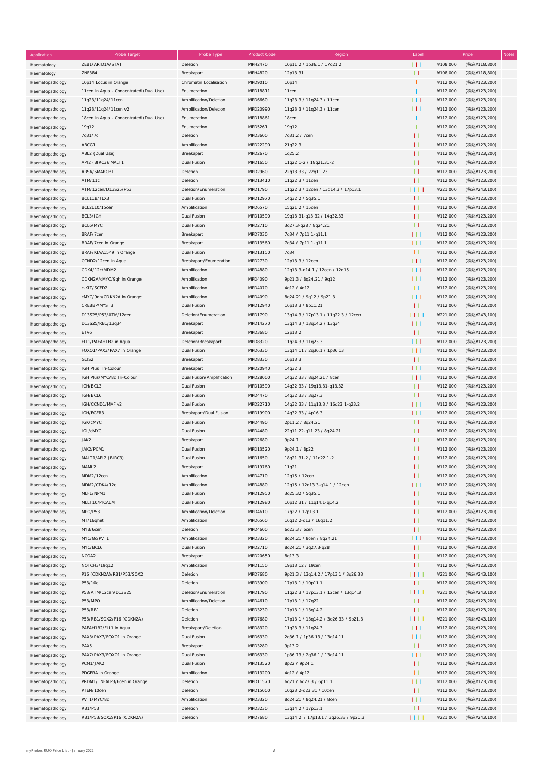| Application      | Probe Target                            | Probe Type                | <b>Product Code</b> | Region                               | Label           |          | Price<br>Notes |
|------------------|-----------------------------------------|---------------------------|---------------------|--------------------------------------|-----------------|----------|----------------|
| Haematology      | ZEB1/ARID1A/STAT                        | Deletion                  | MPH2470             | 10p11.2 / 1p36.1 / 17q21.2           | 1 L L           | ¥108,000 | (税込¥118,800)   |
| Haematology      | <b>ZNF384</b>                           | Breakapart                | MPH4820             | 12p13.31                             | $\perp$         | ¥108,000 | (税込¥118,800)   |
|                  |                                         |                           |                     |                                      |                 |          |                |
| Haematopathology | 10p14 Locus in Orange                   | Chromatin Localisation    | MPD9010             | 10p14                                |                 | ¥112,000 | (税込¥123,200)   |
| Haematopathology | 11cen in Aqua - Concentrated (Dual Use) | Enumeration               | MPD18811            | 11cen                                |                 | ¥112,000 | (税込¥123,200)   |
| Haematopathology | 11q23/11q24/11cen                       | Amplification/Deletion    | MPD6660             | 11q23.3 / 11q24.3 / 11cen            | $\Box$          | ¥112,000 | (税込¥123,200)   |
| Haematopathology | 11q23/11q24/11cen v2                    | Amplification/Deletion    | MPD20990            | 11q23.3 / 11q24.3 / 11cen            | $\Box$          | ¥112,000 | (税込¥123,200)   |
| Haematopathology | 18cen in Aqua - Concentrated (Dual Use) | Enumeration               | MPD18861            | 18cen                                |                 | ¥112,000 | (税込¥123,200)   |
|                  |                                         | Enumeration               | MPD5261             | 19q12                                |                 | ¥112,000 | (税込¥123,200)   |
| Haematopathology | 19q12                                   |                           |                     |                                      |                 |          |                |
| Haematopathology | 7q31/7c                                 | Deletion                  | MPD3600             | 7q31.2 / 7cen                        | П               | ¥112,000 | (税込¥123,200)   |
| Haematopathology | ABCG1                                   | Amplification             | MPD22290            | 21q22.3                              | $\mathbf{L}$    | ¥112,000 | (税込¥123,200)   |
| Haematopathology | ABL2 (Dual Use)                         | Breakapart                | MPD2670             | 1q25.2                               | $\mathbf{L}$    | ¥112,000 | (税込¥123,200)   |
| Haematopathology | API2 (BIRC3)/MALT1                      | Dual Fusion               | MPD1650             | 11q22.1-2 / 18q21.31-2               | $\mathbf{L}$    | ¥112,000 | (税込¥123,200)   |
|                  | ARSA/SMARCB1                            | Deletion                  | MPD2960             | 22q13.33 / 22q11.23                  | П               | ¥112,000 | (税込¥123,200)   |
| Haematopathology |                                         |                           |                     |                                      |                 |          |                |
| Haematopathology | ATM/11c                                 | Deletion                  | MPD13410            | 11q22.3 / 11cen                      | П               | ¥112,000 | (税込¥123,200)   |
| Haematopathology | ATM/12cen/D13S25/P53                    | Deletion/Enumeration      | MPD1790             | 11q22.3 / 12cen / 13q14.3 / 17p13.1  | 1 I I I         | ¥221,000 | (税込¥243,100)   |
| Haematopathology | BCL11B/TLX3                             | Dual Fusion               | MPD12970            | 14q32.2 / 5q35.1                     | $\mathbf{L}$    | ¥112,000 | (税込¥123,200)   |
| Haematopathology | BCL2L10/15cen                           | Amplification             | MPD6570             | 15q21.2 / 15cen                      | $\mathbf{L}$    | ¥112,000 | (税込¥123,200)   |
| Haematopathology | BCL3/IGH                                | Dual Fusion               | MPD10590            | 19q13.31-q13.32 / 14q32.33           | $\mathbf{L}$    | ¥112,000 | (税込¥123,200)   |
|                  |                                         |                           |                     |                                      |                 |          |                |
| Haematopathology | BCL6/MYC                                | Dual Fusion               | MPD2710             | 3q27.3-q28 / 8q24.21                 | $\perp$         | ¥112,000 | (税込¥123,200)   |
| Haematopathology | BRAF/7cen                               | Breakapart                | MPD7030             | 7q34 / 7p11.1-q11.1                  | 111             | ¥112,000 | (税込¥123,200)   |
| Haematopathology | BRAF/7cen in Orange                     | Breakapart                | MPD13560            | 7q34 / 7p11.1-q11.1                  | 111             | ¥112,000 | (税込¥123,200)   |
| Haematopathology | BRAF/KIAA1549 in Orange                 | Dual Fusion               | MPD13150            | 7q34                                 | $\perp$         | ¥112,000 | (税込¥123,200)   |
| Haematopathology | CCND2/12cen in Aqua                     | Breakapart/Enumeration    | MPD2730             | 12p13.3 / 12cen                      | 1 L L           | ¥112,000 | (税込¥123,200)   |
|                  |                                         |                           |                     |                                      |                 | ¥112,000 |                |
| Haematopathology | CDK4/12c/MDM2                           | Amplification             | MPD4880             | 12q13.3-q14.1 / 12cen / 12q15        | $\Box$          |          | (税込¥123,200)   |
| Haematopathology | CDKN2A/cMYC/9qh in Orange               | Amplification             | MPD4090             | 9p21.3 / 8q24.21 / 9q12              | 111             | ¥112,000 | (税込¥123,200)   |
| Haematopathology | c-KIT/SCFD2                             | Amplification             | MPD4070             | 4q12 / 4q12                          | -11             | ¥112,000 | (税込¥123,200)   |
| Haematopathology | cMYC/9qh/CDKN2A in Orange               | Amplification             | MPD4090             | 8q24.21 / 9q12 / 9p21.3              | $\perp$ $\perp$ | ¥112,000 | (税込¥123,200)   |
| Haematopathology | CREBBP/MYST3                            | Dual Fusion               | MPD12940            | 16p13.3 / 8p11.21                    | $\perp$         | ¥112,000 | (税込¥123,200)   |
|                  | D13S25/P53/ATM/12cen                    | Deletion/Enumeration      | MPD1790             | 13q14.3 / 17p13.1 / 11q22.3 / 12cen  | $\Box$          | ¥221,000 | (税込¥243,100)   |
| Haematopathology |                                         |                           |                     |                                      |                 |          |                |
| Haematopathology | D13S25/RB1/13q34                        | Breakapart                | MPD14270            | 13q14.3 / 13q14.2 / 13q34            | 111             | ¥112,000 | (税込¥123,200)   |
| Haematopathology | ETV6                                    | Breakapart                | MPD3680             | 12p13.2                              | $\mathbf{H}$    | ¥112,000 | (税込¥123,200)   |
| Haematopathology | FLI1/PAFAH1B2 in Aqua                   | Deletion/Breakapart       | MPD8320             | 11q24.3 / 11q23.3                    | 111             | ¥112,000 | (税込¥123,200)   |
| Haematopathology | FOXO1/PAX3/PAX7 in Orange               | Dual Fusion               | MPD6330             | 13q14.11 / 2q36.1 / 1p36.13          | 111             | ¥112,000 | (税込¥123,200)   |
|                  | GLIS2                                   | Breakapart                | MPD8330             | 16p13.3                              | $\perp$         | ¥112,000 | (税込¥123,200)   |
| Haematopathology |                                         |                           |                     |                                      |                 |          |                |
| Haematopathology | IGH Plus Tri-Colour                     | Breakapart                | MPD20940            | 14q32.3                              | $1 + 1$         | ¥112,000 | (税込¥123,200)   |
| Haematopathology | IGH Plus/MYC/8c Tri-Colour              | Dual Fusion/Amplification | MPD28000            | 14q32.33 / 8q24.21 / 8cen            | 1 L L           | ¥112,000 | (税込¥123,200)   |
| Haematopathology | IGH/BCL3                                | Dual Fusion               | MPD10590            | 14q32.33 / 19q13.31-q13.32           | $\perp$         | ¥112,000 | (税込¥123,200)   |
| Haematopathology | IGH/BCL6                                | Dual Fusion               | MPD4470             | 14q32.33 / 3q27.3                    | $\perp$         | ¥112,000 | (税込¥123,200)   |
| Haematopathology | IGH/CCND1/MAF v2                        | Dual Fusion               | MPD22710            | 14q32.33 / 11q13.3 / 16q23.1-q23.2   | 111             | ¥112,000 | (税込¥123,200)   |
|                  |                                         |                           |                     |                                      |                 |          |                |
| Haematopathology | IGH/FGFR3                               | Breakapart/Dual Fusion    | MPD19900            | 14q32.33 / 4p16.3                    | 111             | ¥112,000 | (税込¥123,200)   |
| Haematopathology | IGK/cMYC                                | Dual Fusion               | MPD4490             | 2p11.2 / 8q24.21                     | $\perp$         | ¥112,000 | (税込¥123,200)   |
| Haematopathology | IGL/cMYC                                | Dual Fusion               | MPD4480             | 22q11.22-q11.23 / 8q24.21            | $\perp$         | ¥112,000 | (税込¥123,200)   |
| Haematopathology | JAK2                                    | Breakapart                | MPD2680             | 9p24.1                               | $\mathbf{L}$    | ¥112,000 | (税込¥123,200)   |
| Haematopathology | JAK2/PCM1                               | <b>Dual Fusion</b>        | MPD13520            | 9p24.1 / 8p22                        | $\mathbf{L}$    | ¥112,000 | (税込¥123,200)   |
| Haematopathology | MALT1/API2 (BIRC3)                      |                           | MPD1650             | 18q21.31-2 / 11q22.1-2               | $\mathbf{H}$    | ¥112,000 | (税込¥123,200)   |
|                  |                                         | Dual Fusion               |                     |                                      |                 |          |                |
| Haematopathology | MAML2                                   | Breakapart                | MPD19760            | 11q21                                | Ħ               | ¥112,000 | (税込¥123,200)   |
| Haematopathology | MDM2/12cen                              | Amplification             | MPD4710             | 12q15 / 12cen                        | $\mathbf{L}$    | ¥112,000 | (税込¥123,200)   |
| Haematopathology | MDM2/CDK4/12c                           | Amplification             | MPD4880             | 12q15 / 12q13.3-q14.1 / 12cen        | 111             | ¥112,000 | (税込¥123,200)   |
| Haematopathology | MLF1/NPM1                               | Dual Fusion               | MPD12950            | 3q25.32 / 5q35.1                     | $\mathbf{H}$    | ¥112,000 | (税込¥123,200)   |
| Haematopathology | MLLT10/PICALM                           | Dual Fusion               | MPD12980            | 10p12.31 / 11q14.1-q14.2             | П               | ¥112,000 | (税込¥123,200)   |
|                  |                                         |                           |                     |                                      |                 |          |                |
| Haematopathology | MPO/P53                                 | Amplification/Deletion    | MPD4610             | 17q22 / 17p13.1                      | $\mathbf{L}$    | ¥112,000 | (税込¥123,200)   |
| Haematopathology | MT/16qhet                               | Amplification             | MPD6560             | 16q12.2-q13 / 16q11.2                | $\mathbf{L}$    | ¥112,000 | (税込¥123,200)   |
| Haematopathology | MYB/6cen                                | Deletion                  | MPD4600             | 6q23.3 / 6cen                        | Ħ               | ¥112,000 | (税込¥123,200)   |
| Haematopathology | MYC/8c/PVT1                             | Amplification             | MPD3320             | 8q24.21 / 8cen / 8q24.21             | $\perp$         | ¥112,000 | (税込¥123,200)   |
| Haematopathology | MYC/BCL6                                | Dual Fusion               | MPD2710             | 8q24.21 / 3q27.3-q28                 | $\mathbf{L}$    | ¥112,000 | (税込¥123,200)   |
|                  |                                         |                           |                     |                                      |                 | ¥112,000 | (税込¥123,200)   |
| Haematopathology | NCOA2                                   | Breakapart                | MPD20650            | 8q13.3                               | $\mathbf{L}$    |          |                |
| Haematopathology | NOTCH3/19q12                            | Amplification             | MPD1150             | 19p13.12 / 19cen                     | Ħ               | ¥112,000 | (税込¥123,200)   |
| Haematopathology | P16 (CDKN2A)/RB1/P53/SOX2               | Deletion                  | MPD7680             | 9p21.3 / 13q14.2 / 17p13.1 / 3q26.33 | $\Box$          | ¥221,000 | (税込¥243,100)   |
| Haematopathology | P53/10c                                 | Deletion                  | MPD3900             | 17p13.1 / 10p11.1                    | П               | ¥112,000 | (税込¥123,200)   |
| Haematopathology | P53/ATM/12cen/D13S25                    | Deletion/Enumeration      | MPD1790             | 11q22.3 / 17p13.1 / 12cen / 13q14.3  | 1111            | ¥221,000 | (税込¥243,100)   |
|                  | P53/MPO                                 | Amplification/Deletion    | MPD4610             | 17p13.1 / 17q22                      | $\perp$         | ¥112,000 | (税込¥123,200)   |
| Haematopathology |                                         |                           |                     |                                      |                 |          |                |
| Haematopathology | P53/RB1                                 | Deletion                  | MPD3230             | 17p13.1 / 13q14.2                    | $\mathbf{H}$    | ¥112,000 | (税込¥123,200)   |
| Haematopathology | P53/RB1/SOX2/P16 (CDKN2A)               | Deletion                  | MPD7680             | 17p13.1 / 13q14.2 / 3q26.33 / 9p21.3 | 1 I I I         | ¥221,000 | (税込¥243,100)   |
| Haematopathology | PAFAH1B2/FLI1 in Aqua                   | Breakapart/Deletion       | MPD8320             | 11q23.3 / 11q24.3                    | $\Box$          | ¥112,000 | (税込¥123,200)   |
| Haematopathology | PAX3/PAX7/FOXO1 in Orange               | Dual Fusion               | MPD6330             | 2q36.1 / 1p36.13 / 13q14.11          | 111             | ¥112,000 | (税込¥123,200)   |
| Haematopathology | PAX5                                    | Breakapart                | MPD3280             | 9p13.2                               | $\perp$         | ¥112,000 | (税込¥123,200)   |
|                  | PAX7/PAX3/FOXO1 in Orange               | Dual Fusion               | MPD6330             |                                      |                 | ¥112,000 |                |
| Haematopathology |                                         |                           |                     | 1p36.13 / 2q36.1 / 13q14.11          | 111             |          | (税込¥123,200)   |
| Haematopathology | PCM1/JAK2                               | Dual Fusion               | MPD13520            | 8p22 / 9p24.1                        | $\perp$         | ¥112,000 | (税込¥123,200)   |
| Haematopathology | PDGFRA in Orange                        | Amplification             | MPD13200            | 4q12 / 4p12                          | $\mathbf{L}$    | ¥112,000 | (税込¥123,200)   |
| Haematopathology | PRDM1/TNFAIP3/6cen in Orange            | Deletion                  | MPD11570            | 6q21 / 6q23.3 / 6p11.1               | 111             | ¥112,000 | (税込¥123,200)   |
| Haematopathology | PTEN/10cen                              | Deletion                  | MPD15000            | 10q23.2-q23.31 / 10cen               | $\mathbf{H}$    | ¥112,000 | (税込¥123,200)   |
| Haematopathology | PVT1/MYC/8c                             | Amplification             | MPD3320             | 8q24.21 / 8q24.21 / 8cen             | $\Box$          | ¥112,000 | (税込¥123,200)   |
|                  |                                         |                           |                     |                                      |                 |          |                |
| Haematopathology | RB1/P53                                 | Deletion                  | MPD3230             | 13q14.2 / 17p13.1                    | $\perp$         | ¥112,000 | (税込¥123,200)   |
| Haematopathology | RB1/P53/SOX2/P16 (CDKN2A)               | Deletion                  | MPD7680             | 13q14.2 / 17p13.1 / 3q26.33 / 9p21.3 | 1111            | ¥221,000 | (税込¥243,100)   |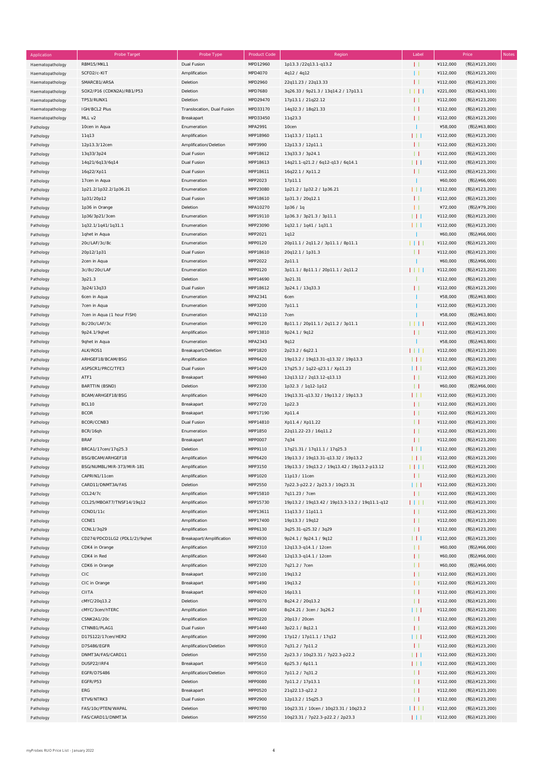| Application      | Probe Target                  | Probe Type                 | <b>Product Code</b> | Region                                          | Label             |          | Price<br><b>Notes</b> |
|------------------|-------------------------------|----------------------------|---------------------|-------------------------------------------------|-------------------|----------|-----------------------|
| Haematopathology | RBM15/MKL1                    | Dual Fusion                | MPD12960            | 1p13.3 /22q13.1-q13.2                           | $\mathbf{L}$      | ¥112,000 | (税込¥123,200)          |
| Haematopathology | SCFD2/c-KIT                   | Amplification              | MPD4070             | 4q12 / 4q12                                     | $\Box$            | ¥112,000 | (税込¥123,200)          |
|                  | SMARCB1/ARSA                  | Deletion                   | MPD2960             | 22q11.23 / 22q13.33                             | $\mathbf{H}$      | ¥112,000 | (税込¥123,200)          |
| Haematopathology |                               |                            |                     |                                                 |                   |          |                       |
| Haematopathology | SOX2/P16 (CDKN2A)/RB1/P53     | Deletion                   | MPD7680             | 3q26.33 / 9p21.3 / 13q14.2 / 17p13.1            | HH                | ¥221,000 | (税込¥243,100)          |
| Haematopathology | TP53/RUNX1                    | Deletion                   | MPD29470            | 17p13.1 / 21q22.12                              | $\mathbf{H}$      | ¥112,000 | (税込¥123,200)          |
| Haematopathology | IGH/BCL2 Plus                 | Translocation, Dual Fusion | MPD33170            | 14q32.3 / 18q21.33                              | $\perp$           | ¥112,000 | (税込¥123,200)          |
| Haematopathology | MLL v2                        | Breakapart                 | MPD33450            | 11q23.3                                         | $\mathbf{L}$      | ¥112,000 | (税込¥123,200)          |
| Pathology        | 10cen in Aqua                 | Enumeration                | MPA2991             | 10cen                                           | -1                | ¥58,000  | (税込¥63,800)           |
| Pathology        | 11q13                         | Amplification              | MPP18960            | 11q13.3 / 11p11.1                               | $\Box$            | ¥112,000 | (税込¥123,200)          |
| Pathology        | 12p13.3/12cen                 | Amplification/Deletion     | MPP3990             | 12p13.3 / 12p11.1                               | $\mathbf{L}$      | ¥112,000 | (税込¥123,200)          |
| Pathology        | 13q33/3p24                    | Dual Fusion                | MPP18612            | 13q33.3 / 3p24.1                                | $\perp$           | ¥112,000 | (税込¥123,200)          |
| Pathology        | 14q21/6q13/6q14               | Dual Fusion                | MPP18613            | 14q21.1-q21.2 / 6q12-q13 / 6q14.1               | $\Box$            | ¥112,000 | (税込¥123,200)          |
|                  | 16q22/Xp11                    | Dual Fusion                | MPP18611            | 16q22.1 / Xp11.2                                | $\mathbf{L}$      | ¥112,000 | (税込¥123,200)          |
| Pathology        |                               |                            |                     |                                                 |                   |          |                       |
| Pathology        | 17cen in Aqua                 | Enumeration                | MPP2023             | 17p11.1                                         | т                 | ¥60,000  | (税込¥66,000)           |
| Pathology        | 1p21.2/1p32.2/1p36.21         | Enumeration                | MPP23080            | 1p21.2 / 1p32.2 / 1p36.21                       | $\Box$            | ¥112,000 | (税込¥123,200)          |
| Pathology        | 1p31/20p12                    | Dual Fusion                | MPP18610            | 1p31.3 / 20q12.1                                | $\mathbf{H}$      | ¥112,000 | (税込¥123,200)          |
| Pathology        | 1p36 in Orange                | Deletion                   | MPA10270            | 1p36 / 1q                                       | $\mathbf{H}$      | ¥72,000  | (税込¥79,200)           |
| Pathology        | 1p36/3p21/3cen                | Enumeration                | MPP19110            | 1p36.3 / 3p21.3 / 3p11.1                        | П                 | ¥112,000 | (税込¥123,200)          |
| Pathology        | 1q32.1/1q41/1q31.1            | Enumeration                | MPP23090            | 1q32.1 / 1q41 / 1q31.1                          | $\Box$            | ¥112,000 | (税込¥123,200)          |
| Pathology        | 1qhet in Aqua                 | Enumeration                | MPP2021             | 1q12                                            |                   | ¥60,000  | (税込¥66,000)           |
| Pathology        | 20c/LAF/3c/8c                 | Enumeration                | MPP0120             | 20p11.1 / 2q11.2 / 3p11.1 / 8p11.1              | $\Box$            | ¥112,000 | (税込¥123,200)          |
| Pathology        | 20p12/1p31                    | Dual Fusion                | MPP18610            | 20q12.1 / 1p31.3                                | $\Box$            | ¥112,000 | (税込¥123,200)          |
|                  | 2cen in Aqua                  | Enumeration                | MPP2022             | 2p11.1                                          |                   | ¥60,000  | (税込¥66,000)           |
| Pathology        |                               |                            |                     |                                                 |                   |          |                       |
| Pathology        | 3c/8c/20c/LAF                 | Enumeration                | MPP0120             | 3p11.1 / 8p11.1 / 20p11.1 / 2q11.2              | 1 I I I           | ¥112,000 | (税込¥123,200)          |
| Pathology        | 3p21.3                        | Deletion                   | MPP14690            | 3p21.31                                         |                   | ¥112,000 | (税込¥123,200)          |
| Pathology        | 3p24/13q33                    | Dual Fusion                | MPP18612            | 3p24.1 / 13q33.3                                | Ш                 | ¥112,000 | (税込¥123,200)          |
| Pathology        | 6cen in Aqua                  | Enumeration                | MPA2341             | 6cen                                            |                   | ¥58,000  | (税込¥63,800)           |
| Pathology        | 7cen in Aqua                  | Enumeration                | MPP3200             | 7p11.1                                          |                   | ¥112,000 | (税込¥123,200)          |
| Pathology        | 7cen in Aqua (1 hour FISH)    | Enumeration                | MPA2110             | 7cen                                            |                   | ¥58,000  | (税込¥63,800)           |
| Pathology        | 8c/20c/LAF/3c                 | Enumeration                | MPP0120             | 8p11.1 / 20p11.1 / 2q11.2 / 3p11.1              | $\Box$            | ¥112,000 | (税込¥123,200)          |
|                  | 9p24.1/9qhet                  | Amplification              | MPP13810            | 9p24.1 / 9q12                                   | $\perp$           | ¥112,000 | (税込¥123,200)          |
| Pathology        |                               |                            |                     |                                                 |                   |          |                       |
| Pathology        | 9qhet in Aqua                 | Enumeration                | MPA2343             | 9q12                                            | -1                | ¥58,000  | (税込¥63,800)           |
| Pathology        | ALK/ROS1                      | Breakapart/Deletion        | MPP1820             | 2p23.2 / 6q22.1                                 | HH                | ¥112,000 | (税込¥123,200)          |
| Pathology        | ARHGEF18/BCAM/BSG             | Amplification              | MPP6420             | 19p13.2 / 19q13.31-q13.32 / 19p13.3             | Ш                 | ¥112,000 | (税込¥123,200)          |
| Pathology        | ASPSCR1/PRCC/TFE3             | Dual Fusion                | MPP1420             | 17q25.3 / 1q22-q23.1 / Xp11.23                  | Ш                 | ¥112,000 | (税込¥123,200)          |
| Pathology        | ATF1                          | Breakapart                 | MPP6940             | 12q13.12 / 2q13.12-q13.13                       | $\mathbf{H}$      | ¥112,000 | (税込¥123,200)          |
| Pathology        | BARTTIN (BSND)                | Deletion                   | MPP2330             | 1p32.3 / 1q12-1p12                              | $\perp$           | ¥60,000  | (税込¥66,000)           |
| Pathology        | BCAM/ARHGEF18/BSG             | Amplification              | MPP6420             | 19q13.31-q13.32 / 19p13.2 / 19p13.3             | Ш                 | ¥112,000 | (税込¥123,200)          |
| Pathology        | BCL10                         | Breakapart                 | MPP2720             | 1p22.3                                          | $\mathbf{H}$      | ¥112,000 | (税込¥123,200)          |
| Pathology        | <b>BCOR</b>                   | Breakapart                 | MPP17190            | Xp11.4                                          | $\mathbf{L}$      | ¥112,000 | (税込¥123,200)          |
|                  | BCOR/CCNB3                    | Dual Fusion                | MPP14810            | Xp11.4 / Xp11.22                                | $\perp$           | ¥112,000 | (税込¥123,200)          |
| Pathology        |                               |                            |                     |                                                 |                   |          |                       |
| Pathology        | BCR/16qh                      | Enumeration                | MPP1850             | 22q11.22-23 / 16q11.2                           | $\mathbf{H}$      | ¥112,000 | (税込¥123,200)          |
| Pathology        | <b>BRAF</b>                   | Breakapart                 | MPP0007             | 7q34                                            | $\mathbf{H}$      | ¥112,000 | (税込¥123,200)          |
| Pathology        | BRCA1/17cen/17q25.3           | Deletion                   | MPP9110             | 17q21.31 / 17q11.1 / 17q25.3                    | $\Box$            | ¥112,000 | (税込¥123,200)          |
| Pathology        | BSG/BCAM/ARHGEF18             | Amplification              | MPP6420             | 19p13.3 / 19q13.31-q13.32 / 19p13.2             | Ш                 | ¥112,000 | (税込¥123,200)          |
| Pathology        | BSG/NUMBL/MIR-373/MIR-181     | Amplification              | MPP3150             | 19p13.3 / 19q13.2 / 19q13.42 / 19p13.2-p13.12   | HH                | ¥112,000 | (税込¥123,200)          |
| Pathology        | CAPRIN1/11cen                 | Amplification              | MPP1020             | 11p13 / 11cen                                   | Ħ                 | ¥112,000 | (税込¥123,200)          |
| Pathology        | CARD11/DNMT3A/FAS             | Deletion                   | MPP2550             | 7p22.3-p22.2 / 2p23.3 / 10q23.31                | HТ                | ¥112,000 | (税込¥123,200)          |
| Pathology        | CCL24/7c                      | Amplification              | MPP15810            | 7q11.23 / 7cen                                  | $\mathbf{H}$      | ¥112,000 | (税込¥123,200)          |
| Pathology        | CCL25/MBOAT7/TNSF14/19q12     | Amplification              | MPP15730            | 19p13.2 / 19q13.42 / 19p13.3-13.2 / 19q11.1-q12 | 1111              | ¥112,000 | (税込¥123,200)          |
|                  | CCND1/11c                     | Amplification              | MPP13611            | 11q13.3 / 11p11.1                               |                   | ¥112,000 | (税込¥123,200)          |
| Pathology        |                               |                            | MPP17400            |                                                 | Ħ<br>$\mathbf{H}$ |          |                       |
| Pathology        | CCNE1                         | Amplification              |                     | 19p13.3 / 19q12                                 |                   | ¥112,000 | (税込¥123,200)          |
| Pathology        | CCNL1/3q29                    | Amplification              | MPP6130             | 3q25.31-q25.32 / 3q29                           | $\perp$           | ¥112,000 | (税込¥123,200)          |
| Pathology        | CD274/PDCD1LG2 (PDL1/2)/9qhet | Breakapart/Amplification   | MPP4930             | 9p24.1 / 9p24.1 / 9q12                          | $\Box$            | ¥112,000 | (税込¥123,200)          |
| Pathology        | CDK4 in Orange                | Amplification              | MPP2310             | 12q13.3-q14.1 / 12cen                           | $\perp$           | ¥60,000  | (税込¥66,000)           |
| Pathology        | CDK4 in Red                   | Amplification              | MPP2640             | 12q13.3-q14.1 / 12cen                           | $\mathbf{L}$      | ¥60,000  | (税込¥66,000)           |
| Pathology        | CDK6 in Orange                | Amplification              | MPP2320             | 7q21.2 / 7cen                                   | $\perp$           | ¥60,000  | (税込¥66,000)           |
| Pathology        | CIC                           | Breakapart                 | MPP2100             | 19q13.2                                         | $\mathbf{H}$      | ¥112,000 | (税込¥123,200)          |
| Pathology        | CIC in Orange                 | Breakapart                 | MPP1490             | 19q13.2                                         | $\mathbf{H}$      | ¥112,000 | (税込¥123,200)          |
| Pathology        | CIITA                         | Breakapart                 | MPP4920             | 16p13.1                                         | $\perp$           | ¥112,000 | (税込¥123,200)          |
|                  | cMYC/20q13.2                  | Deletion                   | MPP0070             | 8q24.2 / 20q13.2                                | $\perp$           | ¥112,000 | (税込¥123,200)          |
| Pathology        |                               |                            |                     |                                                 |                   |          |                       |
| Pathology        | cMYC/3cen/hTERC               | Amplification              | MPP1400             | 8q24.21 / 3cen / 3q26.2                         | ПI                | ¥112,000 | (税込¥123,200)          |
| Pathology        | CSNK2A1/20c                   | Amplification              | MPP0220             | 20p13 / 20cen                                   | $\perp$           | ¥112,000 | (税込¥123,200)          |
| Pathology        | CTNNB1/PLAG1                  | Dual Fusion                | MPP1440             | 3p22.1 / 8q12.1                                 | $\mathbf{H}$      | ¥112,000 | (税込¥123,200)          |
| Pathology        | D17S122/17cen/HER2            | Amplification              | MPP2090             | 17p12 / 17p11.1 / 17q12                         | 111               | ¥112,000 | (税込¥123,200)          |
| Pathology        | D7S486/EGFR                   | Amplification/Deletion     | MPP0910             | 7q31.2 / 7p11.2                                 | $\mathbf{H}$      | ¥112,000 | (税込¥123,200)          |
| Pathology        | DNMT3A/FAS/CARD11             | Deletion                   | MPP2550             | 2p23.3 / 10q23.31 / 7p22.3-p22.2                | Ш                 | ¥112,000 | (税込¥123,200)          |
| Pathology        | DUSP22/IRF4                   | Breakapart                 | MPP5610             | 6p25.3 / 6p11.1                                 | ПT                | ¥112,000 | (税込¥123,200)          |
| Pathology        | EGFR/D7S486                   | Amplification/Deletion     | MPP0910             | 7p11.2 / 7q31.2                                 | $\perp$           | ¥112,000 | (税込¥123,200)          |
| Pathology        | EGFR/P53                      | Deletion                   | <b>MPP0080</b>      | 7p11.2 / 17p13.1                                | $\perp$           | ¥112,000 | (税込¥123,200)          |
|                  | ERG                           | Breakapart                 | MPP0520             | 21q22.13-q22.2                                  | $\perp$           | ¥112,000 | (税込¥123,200)          |
| Pathology        | ETV6/NTRK3                    | Dual Fusion                | MPP2900             |                                                 | $\perp$           | ¥112,000 |                       |
| Pathology        |                               |                            |                     | 12p13.2 / 15q25.3                               |                   |          | (税込¥123,200)          |
| Pathology        | FAS/10c/PTEN/WAPAL            | Deletion                   | MPP0780             | 10q23.31 / 10cen / 10q23.31 / 10q23.2           | 1111              | ¥112,000 | (税込¥123,200)          |
| Pathology        | FAS/CARD11/DNMT3A             | Deletion                   | MPP2550             | 10q23.31 / 7p22.3-p22.2 / 2p23.3                | $\Box$            | ¥112,000 | (税込¥123,200)          |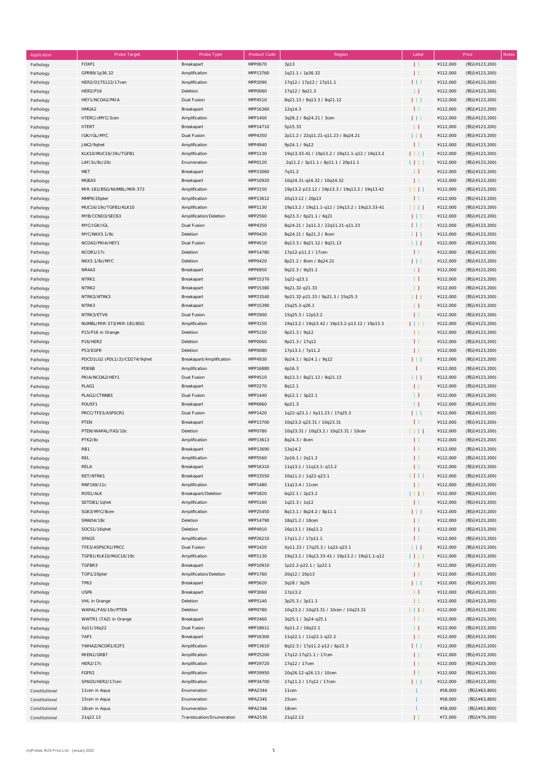| Application    | <b>Probe Target</b>           | Probe Type                | <b>Product Code</b> | Region                                        | Label        |          | Price<br><b>Notes</b> |
|----------------|-------------------------------|---------------------------|---------------------|-----------------------------------------------|--------------|----------|-----------------------|
| Pathology      | FOXP1                         | Breakapart                | MPP0670             | 3p13                                          | Ħ            | ¥112,000 | (税込¥123,200)          |
| Pathology      | GPR89/1p36.32                 | Amplification             | MPP13760            | 1q21.1 / 1p36.32                              | $\mathbf{H}$ | ¥112,000 | (税込¥123,200)          |
|                | HER2/D17S122/17cen            | Amplification             | MPP2090             | 17q12 / 17p12 / 17p11.1                       | 111          | ¥112,000 | (税込¥123,200)          |
| Pathology      | <b>HER2/P16</b>               |                           | MPP0060             |                                               | $\perp$      | ¥112,000 |                       |
| Pathology      |                               | Deletion                  |                     | 17q12 / 9p21.3                                |              |          | (税込¥123,200)          |
| Pathology      | HEY1/NCOA2/PKIA               | Dual Fusion               | MPP4510             | 8q21.13 / 8q13.3 / 8q21.12                    | 111          | ¥112,000 | (税込¥123,200)          |
| Pathology      | HMGA2                         | Breakapart                | MPP16360            | 12q14.3                                       | $\mathbf{L}$ | ¥112,000 | (税込¥123,200)          |
| Pathology      | hTERC/cMYC/3cen               | Amplification             | MPP1400             | 3q26.2 / 8q24.21 / 3cen                       | 111          | ¥112,000 | (税込¥123,200)          |
| Pathology      | hTERT                         | Breakapart                | MPP14710            | 5p15.33                                       | $\perp$      | ¥112,000 | (税込¥123,200)          |
| Pathology      | IGK/IGL/MYC                   | Dual Fusion               | MPP4350             | 2p11.2 / 22q11.21-q11.23 / 8q24.21            | 111          | ¥112,000 | (税込¥123,200)          |
| Pathology      | JAK2/9qhet                    | Amplification             | MPP4940             | 9p24.1 / 9q12                                 | $\mathbf{H}$ | ¥112,000 | (税込¥123,200)          |
| Pathology      | KLK10/MUC16/19c/TGFB1         | Amplification             | MPP1130             | 19q13.33-41 / 19p13.2 / 19q11.1-q12 / 19q13.2 | 1111         | ¥112,000 | (税込¥123,200)          |
| Pathology      | LAF/3c/8c/20c                 | Enumeration               | MPP0120             | 2q11.2 / 3p11.1 / 8p11.1 / 20p11.1            | 1111         | ¥112,000 | (税込¥123,200)          |
|                | MET                           | Breakapart                | MPP23060            | 7q31.2                                        | $\perp$      | ¥112,000 | (税込¥123,200)          |
| Pathology      |                               |                           |                     |                                               |              |          |                       |
| Pathology      | MGEA5                         | Breakapart                | MPP10920            | 10q24.31-q24.32 / 10q24.32                    | $\mathbf{H}$ | ¥112,000 | (税込¥123,200)          |
| Pathology      | MIR-181/BSG/NUMBL/MIR-373     | Amplification             | MPP3150             | 19p13.2-p13.12 / 19p13.3 / 19q13.2 / 19q13.42 | $\Box$       | ¥112,000 | (税込¥123,200)          |
| Pathology      | MMP9/20pter                   | Amplification             | MPP13612            | 20q13.12 / 20p13                              | $\mathbf{L}$ | ¥112,000 | (税込¥123,200)          |
| Pathology      | MUC16/19c/TGFB1/KLK10         | Amplification             | MPP1130             | 19p13.2 / 19q11.1-q12 / 19q13.2 / 19q13.33-41 | 1111         | ¥112,000 | (税込¥123,200)          |
| Pathology      | MYB/CCND3/SEC63               | Amplification/Deletion    | MPP2560             | 6q23.3 / 6p21.1 / 6q21                        | 111          | ¥112,000 | (税込¥123,200)          |
| Pathology      | MYC/IGK/IGL                   | Dual Fusion               | MPP4350             | 8q24.21 / 2p11.2 / 22q11.21-q11.23            | $\Box$       | ¥112,000 | (税込¥123,200)          |
| Pathology      | MYC/NKX3.1/8c                 | Deletion                  | MPP0420             | 8q24.21 / 8p21.2 / 8cen                       | 111          | ¥112,000 | (税込¥123,200)          |
| Pathology      | NCOA2/PKIA/HEY1               | Dual Fusion               | MPP4510             | 8q13.3 / 8q21.12 / 8q21.13                    | $\Box$       | ¥112,000 | (税込¥123,200)          |
| Pathology      | NCOR1/17c                     | Deletion                  | MPP14780            | 17p12-p11.2 / 17cen                           | $\mathbf{H}$ | ¥112,000 | (税込¥123,200)          |
|                | NKX3.1/8c/MYC                 | Deletion                  | MPP0420             | 8p21.2 / 8cen / 8q24.21                       | $\Box$       | ¥112,000 | (税込¥123,200)          |
| Pathology      |                               |                           |                     |                                               |              |          |                       |
| Pathology      | NR4A3                         | Breakapart                | MPP6950             | 9q22.3 / 9q31.1                               | $\perp$      | ¥112,000 | (税込¥123,200)          |
| Pathology      | NTRK1                         | Breakapart                | MPP15370            | 1q22-q23.1                                    | $\perp$      | ¥112,000 | (税込¥123,200)          |
| Pathology      | NTRK2                         | Breakapart                | MPP15380            | 9q21.32-q21.33                                | $\perp$      | ¥112,000 | (税込¥123,200)          |
| Pathology      | NTRK2/NTRK3                   | Breakapart                | MPP23540            | 9p21.32-p21.33 / 9p21.3 / 15q25.3             | $\Box$       | ¥112,000 | (税込¥123,200)          |
| Pathology      | NTRK3                         | Breakapart                | MPP15390            | 15q25.3-q26.1                                 | $\perp$      | ¥112,000 | (税込¥123,200)          |
| Pathology      | NTRK3/ETV6                    | Dual Fusion               | MPP2900             | 15q25.3 / 12p13.2                             | $\mathbf{H}$ | ¥112,000 | (税込¥123,200)          |
| Pathology      | NUMBL/MIR-373/MIR-181/BSG     | Amplification             | MPP3150             | 19q13.2 / 19q13.42 / 19p13.2-p13.12 / 19p13.3 | $\Box$       | ¥112,000 | (税込¥123,200)          |
| Pathology      | P15/P16 in Orange             | Deletion                  | MPP5150             | 9p21.3 / 9q12                                 | $\mathbf{L}$ | ¥112,000 | (税込¥123,200)          |
|                | P16/HER2                      | Deletion                  | MPP0060             | 9p21.3 / 17q12                                | $\mathbf{H}$ | ¥112,000 | (税込¥123,200)          |
| Pathology      | P53/EGFR                      | Deletion                  | <b>MPP0080</b>      | 17p13.1 / 7p11.2                              | $\mathbf{H}$ | ¥112,000 | (税込¥123,200)          |
| Pathology      |                               |                           |                     |                                               |              |          |                       |
| Pathology      | PDCD1LG2 (PDL1/2)/CD274/9qhet | Breakapart/Amplification  | MPP4930             | 9p24.1 / 9p24.1 / 9q12                        | $\Box$       | ¥112,000 | (税込¥123,200)          |
| Pathology      | PDE6B                         | Amplification             | MPP16880            | 4p16.3                                        | п            | ¥112,000 | (税込¥123,200)          |
| Pathology      | PKIA/NCOA2/HEY1               | Dual Fusion               | MPP4510             | 8q13.3 / 8q21.12 / 8q21.13                    | $\perp$      | ¥112,000 | (税込¥123,200)          |
| Pathology      | PLAG1                         | Breakapart                | MPP2270             | 8q12.1                                        | $\mathbf{H}$ | ¥112,000 | (税込¥123,200)          |
| Pathology      | PLAG1/CTNNB1                  | Dual Fusion               | MPP1440             | 8q12.1 / 3p22.1                               | $\perp$      | ¥112,000 | (税込¥123,200)          |
| Pathology      | POU5F1                        | Breakapart                | MPP6960             | 6p21.3                                        | $\perp$      | ¥112,000 | (税込¥123,200)          |
| Pathology      | PRCC/TFE3/ASPSCR1             | Dual Fusion               | MPP1420             | 1q22-q23.1 / Xp11.23 / 17q25.3                | $\Box$       | ¥112,000 | (税込¥123,200)          |
| Pathology      | PTEN                          | Breakapart                | MPP13700            | 10q23.2-q23.31 / 10q23.31                     | $\mathbf{L}$ | ¥112,000 | (税込¥123,200)          |
|                | PTEN/WAPAL/FAS/10c            | Deletion                  | MPP0780             | 10q23.31 / 10q23.2 / 10q23.31 / 10cen         | $\Box$       | ¥112,000 | (税込¥123,200)          |
| Pathology      | PTK2/8c                       |                           | MPP13613            |                                               | $\mathbf{H}$ | ¥112,000 |                       |
| Pathology      |                               | Amplification             |                     | 8q24.3 / 8cen                                 |              |          | (税込¥123,200)          |
| Pathology      | RB1                           | Breakapart                | MPP13690            | 13q14.2                                       | $\mathbf{L}$ | ¥112,000 | (税込¥123,200)          |
| Pathology      | REL                           | Amplification             | MPP5560             | 2p16.1 / 2q11.2                               | $\mathbf{L}$ | ¥112,000 | (税込¥123,200)          |
| Pathology      | RELA                          | Breakapart                | MPP16310            | 11q13.1 / 11q13.1-q13.2                       | $\mathbf{H}$ | ¥112,000 | (税込¥123,200)          |
| Pathology      | RET/NTRK1                     | Breakapart                | MPP23550            | 10q11.2 / 1q22-q23.1                          | 1111         | ¥112,000 | (税込¥123,200)          |
| Pathology      | RNF169/11c                    | Amplification             | MPP1480             | 11q13.4 / 11cen                               | $\mathbf{L}$ | ¥112,000 | (税込¥123,200)          |
| Pathology      | ROS1/ALK                      | Breakapart/Deletion       | MPP1820             | 6q22.1 / 2p23.2                               | 1111         | ¥112,000 | (税込¥123,200)          |
| Pathology      | SETDB1/1qhet                  | Amplification             | MPP5160             | 1q21.3 / 1q12                                 | $\mathbf{H}$ | ¥112,000 | (税込¥123,200)          |
| Pathology      | SGK3/MYC/8cen                 | Amplification             | MPP25450            | 8q13.1 / 8q24.2 / 8p11.1                      | 111          | ¥112,000 | (税込¥123,200)          |
| Pathology      | SMAD4/18c                     | Deletion                  | MPP14790            | 18q21.2 / 18cen                               | $\mathbf{L}$ | ¥112,000 | (税込¥123,200)          |
|                |                               | Deletion                  | MPP4910             |                                               |              | ¥112,000 |                       |
| Pathology      | SOCS1/16qhet                  |                           |                     | 16p13.1 / 16q11.2                             | $\perp$      |          | (税込¥123,200)          |
| Pathology      | SPAG5                         | Amplification             | MPP26210            | 17q11.2 / 17p11.1                             | $\mathbf{H}$ | ¥112,000 | (税込¥123,200)          |
| Pathology      | TFE3/ASPSCR1/PRCC             | Dual Fusion               | MPP1420             | Xp11.23 / 17q25.3 / 1q22-q23.1                | 111          | ¥112,000 | (税込¥123,200)          |
| Pathology      | TGFB1/KLK10/MUC16/19c         | Amplification             | MPP1130             | 19q13.2 / 19q13.33-41 / 19p13.2 / 19q11.1-q12 | 1 I I I      | ¥112,000 | (税込¥123,200)          |
| Pathology      | TGFBR3                        | Breakapart                | MPP10910            | 1p22.2-p22.1 / 1p22.1                         | $\perp$      | ¥112,000 | (税込¥123,200)          |
| Pathology      | TOP1/20pter                   | Amplification/Deletion    | MPP1760             | 20q12 / 20p13                                 | $\mathbf{L}$ | ¥112,000 | (税込¥123,200)          |
| Pathology      | <b>TP63</b>                   | Breakapart                | MPP5620             | 3q28 / 3q29                                   | $\Box$       | ¥112,000 | (税込¥123,200)          |
| Pathology      | USP6                          | Breakapart                | MPP3060             | 17p13.2                                       | $\perp$      | ¥112,000 | (税込¥123,200)          |
| Pathology      | VHL in Orange                 | Deletion                  | MPP5140             | 3p25.3 / 3p11.1                               | $\mathbf{H}$ | ¥112,000 | (税込¥123,200)          |
|                | WAPAL/FAS/10c/PTEN            | Deletion                  | MPP0780             | 10q23.2 / 10q23.31 / 10cen / 10q23.31         | HH           | ¥112,000 | (税込¥123,200)          |
| Pathology      |                               |                           |                     |                                               |              |          |                       |
| Pathology      | WWTR1 (TAZ) in Orange         | Breakapart                | MPP2460             | 3q25.1 / 3q24-q25.1                           | $\mathbf{L}$ | ¥112,000 | (税込¥123,200)          |
| Pathology      | Xp11/16q22                    | Dual Fusion               | MPP18611            | Xp11.2 / 16q22.1                              | $\perp$      | ¥112,000 | (税込¥123,200)          |
| Pathology      | YAP1                          | Breakapart                | MPP16300            | 11q22.1 / 11q22.1-q22.2                       | $\mathbf{L}$ | ¥112,000 | (税込¥123,200)          |
| Pathology      | YWHAZ/NCOR1/E2F3              | Amplification             | MPP13610            | 8q22.3 / 17p11.2-p12 / 6p22.3                 | 111          | ¥112,000 | (税込¥123,200)          |
| Pathology      | MIEN1/GRB7                    | Amplification             | MPP25200            | 17q12-17q21.1 / 17cen                         | Ħ            | ¥112,000 | (税込¥123,200)          |
| Pathology      | <b>HER2/17c</b>               | Amplification             | MPP29720            | 17q12 / 17cen                                 | $\mathbf{H}$ | ¥112,000 | (税込¥123,200)          |
| Pathology      | FGFR2                         | Amplification             | MPP29950            | 10q26.12-q26.13 / 10cen                       | $\mathbf{L}$ | ¥112,000 | (税込¥123,200)          |
| Pathology      | SPAG5/HER2/17cen              | Amplification             | MPP34700            | 17q11.2 / 17q12 / 17cen                       | $\Box$       | ¥112,000 | (税込¥123,200)          |
| Constitutional | 11cen in Aqua                 | Enumeration               | MPA2344             | 11cen                                         |              | ¥58,000  | (税込¥63,800)           |
|                |                               | Enumeration               | MPA2345             | 15cen                                         |              | ¥58,000  | (税込¥63,800)           |
| Constitutional | 15cen in Aqua                 |                           |                     |                                               |              |          |                       |
| Constitutional | 18cen in Aqua                 | Enumeration               | MPA2346             | 18cen                                         |              | ¥58,000  | (税込¥63,800)           |
| Constitutional | 21q22.13                      | Translocation/Enumeration | MPA2530             | 21q22.13                                      |              | ¥72,000  | (税込¥79,200)           |